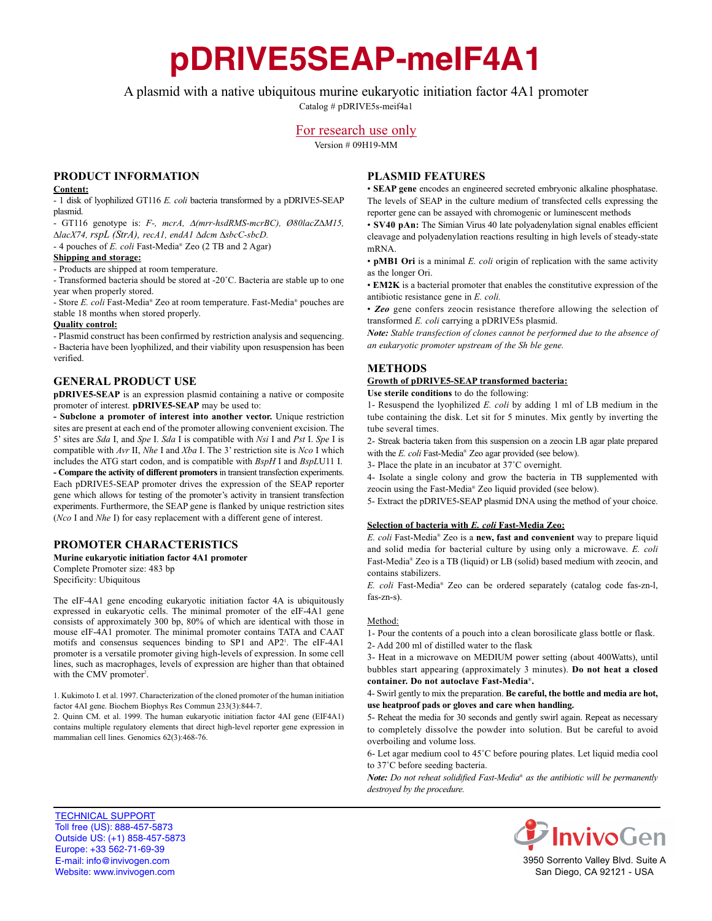# **pDRIVE5SEAP-meIF4A1**

A plasmid with a native ubiquitous murine eukaryotic initiation factor 4A1 promoter

Catalog # pDRIVE5s-meif4a1

## For research use only

Version # 09H19-MM

## **PRODUCT INFORMATION**

#### **Content:**

- 1 disk of lyophilized GT116 *E. coli* bacteria transformed by a pDRIVE5-SEAP plasmid.

- GT116 genotype is: *F-, mcrA,* <sup>∆</sup>*(mrr-hsdRMS-mcrBC), Ø80lacZ∆M15, ∆lacX74, rspL (StrA), recA1, endA1 ∆dcm ∆sbcC-sbcD.*

- 4 pouches of *E. coli* Fast-Media® Zeo (2 TB and 2 Agar)

#### **Shipping and storage:**

- Products are shipped at room temperature.

- Transformed bacteria should be stored at -20˚C. Bacteria are stable up to one year when properly stored.

- Store *E. coli* Fast-Media® Zeo at room temperature. Fast-Media® pouches are stable 18 months when stored properly.

#### **Quality control:**

- Plasmid construct has been confirmed by restriction analysis and sequencing. - Bacteria have been lyophilized, and their viability upon resuspension has been verified.

## **GENERAL PRODUCT USE**

**pDRIVE5-SEAP** is an expression plasmid containing a native or composite promoter of interest. **pDRIVE5-SEAP** may be used to:

**- Subclone a promoter of interest into another vector.** Unique restriction sites are present at each end of the promoter allowing convenient excision. The 5' sites are *Sda* I, and *Spe* I. *Sda* I is compatible with *Nsi* I and *Pst* I. *Spe* I is compatible with *Avr* II, *Nhe* I and *Xba* I. The 3' restriction site is *Nco* I which includes the ATG start codon, and is compatible with *BspH* I and *BspL*U11 I. **- Compare the activity of different promoters**in transient transfection experiments. Each pDRIVE5-SEAP promoter drives the expression of the SEAP reporter gene which allows for testing of the promoter's activity in transient transfection experiments. Furthermore, the SEAP gene is flanked by unique restriction sites (*Nco* I and *Nhe* I) for easy replacement with a different gene of interest.

## **PROMOTER CHARACTERISTICS**

**Murine eukaryotic initiation factor 4A1 promoter** Complete Promoter size: 483 bp Specificity: Ubiquitous

The eIF-4A1 gene encoding eukaryotic initiation factor 4A is ubiquitously expressed in eukaryotic cells. The minimal promoter of the eIF-4A1 gene consists of approximately 300 bp, 80% of which are identical with those in mouse eIF-4A1 promoter. The minimal promoter contains TATA and CAAT motifs and consensus sequences binding to SP1 and AP21 . The eIF-4A1 promoter is a versatile promoter giving high-levels of expression. In some cell lines, such as macrophages, levels of expression are higher than that obtained with the CMV promoter<sup>2</sup>.

1. Kukimoto I. et al. 1997. Characterization of the cloned promoter of the human initiation factor 4AI gene. Biochem Biophys Res Commun 233(3):844-7.

2. Quinn CM. et al. 1999. The human eukaryotic initiation factor 4AI gene (EIF4A1) contains multiple regulatory elements that direct high-level reporter gene expression in mammalian cell lines. Genomics 62(3):468-76.

## **PLASMID FEATURES**

• **SEAP gene** encodes an engineered secreted embryonic alkaline phosphatase. The levels of SEAP in the culture medium of transfected cells expressing the reporter gene can be assayed with chromogenic or luminescent methods

• **SV40 pAn:** The Simian Virus 40 late polyadenylation signal enables efficient cleavage and polyadenylation reactions resulting in high levels of steady-state mRNA.

• **pMB1 Ori** is a minimal *E. coli* origin of replication with the same activity as the longer Ori.

• **EM2K** is a bacterial promoter that enables the constitutive expression of the antibiotic resistance gene in *E. coli.*

• *Zeo* gene confers zeocin resistance therefore allowing the selection of transformed *E. coli* carrying a pDRIVE5s plasmid.

*Note: Stable transfection of clones cannot be performed due to the absence of an eukaryotic promoter upstream of the Sh ble gene.*

## **METHODS**

#### **Growth of pDRIVE5-SEAP transformed bacteria:**

**Use sterile conditions** to do the following:

1- Resuspend the lyophilized *E. coli* by adding 1 ml of LB medium in the tube containing the disk. Let sit for 5 minutes. Mix gently by inverting the tube several times.

2- Streak bacteria taken from this suspension on a zeocin LB agar plate prepared with the *E. coli* Fast-Media® Zeo agar provided (see below).

3- Place the plate in an incubator at 37˚C overnight.

4- Isolate a single colony and grow the bacteria in TB supplemented with zeocin using the Fast-Media® Zeo liquid provided (see below).

5- Extract the pDRIVE5-SEAP plasmid DNA using the method of your choice.

#### **Selection of bacteria with** *E. coli* **Fast-Media Zeo:**

*E. coli* Fast-Media® Zeo is a **new, fast and convenient** way to prepare liquid and solid media for bacterial culture by using only a microwave. *E. coli* Fast-Media® Zeo is a TB (liquid) or LB (solid) based medium with zeocin, and contains stabilizers.

*E. coli* Fast-Media® Zeo can be ordered separately (catalog code fas-zn-l, fas-zn-s).

#### Method:

1- Pour the contents of a pouch into a clean borosilicate glass bottle or flask.

2- Add 200 ml of distilled water to the flask 3- Heat in a microwave on MEDIUM power setting (about 400Watts), until

bubbles start appearing (approximately 3 minutes). **Do not heat a closed container. Do not autoclave Fast-Media**®**.**

#### 4- Swirl gently to mix the preparation. **Be careful, the bottle and media are hot, use heatproof pads or gloves and care when handling.**

5- Reheat the media for 30 seconds and gently swirl again. Repeat as necessary to completely dissolve the powder into solution. But be careful to avoid overboiling and volume loss.

6- Let agar medium cool to 45˚C before pouring plates. Let liquid media cool to 37˚C before seeding bacteria.

*Note: Do not reheat solidified Fast-Media*® *as the antibiotic will be permanently destroyed by the procedure.*



<sup>7</sup>InvivoGen

3950 Sorrento Valley Blvd. Suite A San Diego, CA 92121 - USA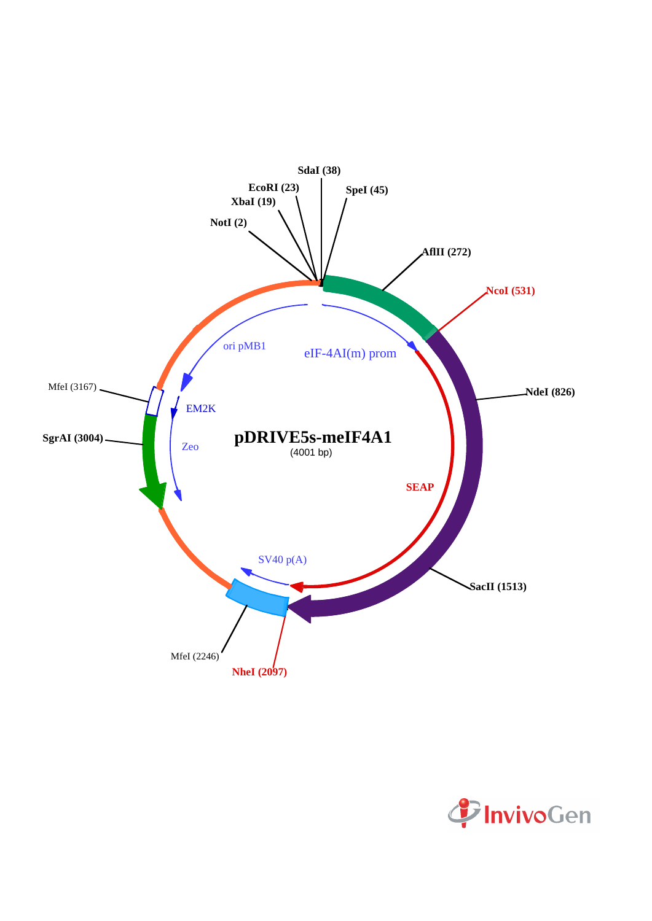

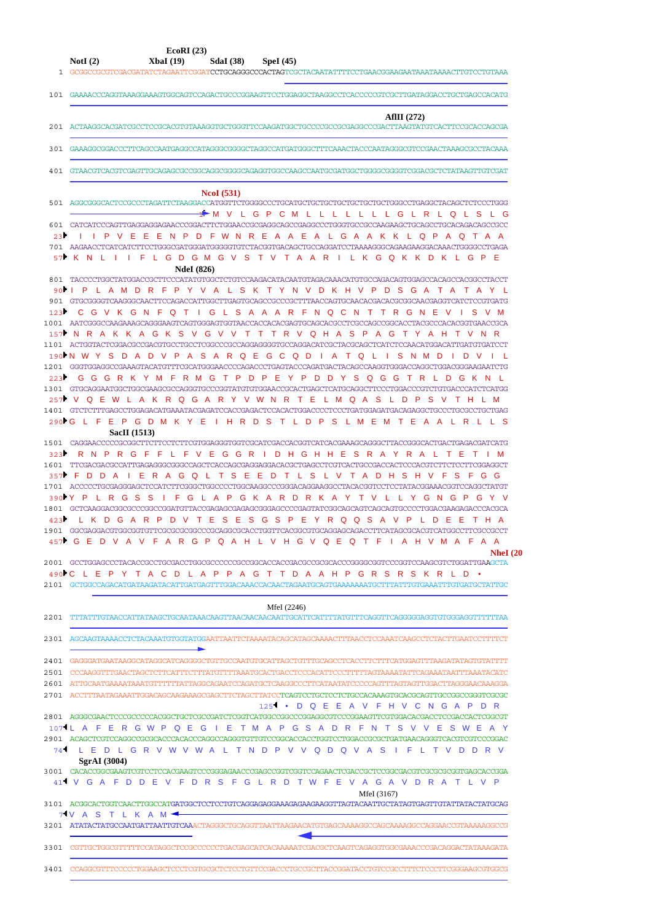| EcoRI(23)<br>NotI $(2)$<br>XbaI(19)<br><b>SdaI</b> (38)<br>Spel(45)                                                                                                                                                                                                                                                                                                     |
|-------------------------------------------------------------------------------------------------------------------------------------------------------------------------------------------------------------------------------------------------------------------------------------------------------------------------------------------------------------------------|
| 101 GAAAACCCAGGTAAAGGAAAGTGGCAGTCCAGACTGCCCGGAAGTTCCTGGAGGCTAAGGCCTCACCCCCGTCGCTTGATAGGACCTGCTGAGCCACATG                                                                                                                                                                                                                                                                |
| AfIII $(272)$<br>201 ACTAAGGCACGATCGCCTCCGCACGTGTAAAGGTGCTGCGGTTCCAAGATGGCTGCCCCGCCGCGAGGCCCGACTTAAGTATGTCACTTCCGCACCAGCGA                                                                                                                                                                                                                                              |
| 301 GAAAGGCGGACCCTTCAGCCAATGAGGCCATAGGGCGGGGCTAGGCCATGATGGGCTTTCAAACTACCCAATAGGGCGTCCGAACTAAAGCGCCTACAAA                                                                                                                                                                                                                                                                |
| 401 GTAACGTCACGTCGAGTTGCAGAGCGCCGGCAGGCGGGGAGAGGTGGCCAAGCCAATGCGATGGCTGGGGCGGGGTCGGACGCTCTATAAGTTGTCGAT                                                                                                                                                                                                                                                                 |
| <b>NcoI</b> (531)                                                                                                                                                                                                                                                                                                                                                       |
| 501 AGGCGGGCACTCCGCCCTAGATTCTAAGGACCATGGTTCTGGGGCCCTGCATGCTGCTGCTGCTGCTGCTGCTGGGCCTGAGGCTACAGCTCTCCCTGGG<br>→▶MVLGPCMLLLLLLLGLRLQLSLG                                                                                                                                                                                                                                   |
| 23 I I P V E E E N P D F W N R E A A E A L G A A K K L Q P A Q T A A<br>701 AAGAACCTCATCATCTTCCTGGGCGATGGGATGGGGTGTCTACGGTGACAGCTGCCAGGATCCTAAAAGGGCAGAAGAAGGACAAACTGGGGCCTGAGA                                                                                                                                                                                         |
| 57 K N L I I F L G D G M G V S T V T A A R I L K G Q K K D K L G P E<br><b>NdeI</b> (826)                                                                                                                                                                                                                                                                               |
| 801 TACCCCTGGCTATGGACCGCTTCCCATATGTGGCTCTGTCCAAGACATACAATGTAGACAAACATGTGCCAGACAGTGGAGCCACAGGCCTACCT<br>90 I P L A M D R F P Y V A L S K T Y N V D K H V P D S G A T A T A Y L                                                                                                                                                                                           |
| 123 C G V K G N F Q T I G L S A A A R F N Q C N T T R G N E V I S V M<br>1001 AATCGGGCCAAGAAAGCAGGGAAGTCAGTGGGAGTGGTAACCACCACACGAGTGCAGCACGCCTCGCCAGCCGGCACCTACGCCCACACGGTGAACCGCA                                                                                                                                                                                      |
| 157 NR A K K A G K S V G V V T T T R V Q H A S P A G T Y A H T V N R<br>1101 ACTGGTACTCGGACGCCGACGTGCCTCCCTCGCCCGCCAGGAGGGGTGCCAGGACATCGCTACGCAGCTCATCTCCAACATGGACATTGATGTGATCCT                                                                                                                                                                                        |
| 190N W Y S D A D V P A S A R Q E G C Q D I A T Q L I S N M D I D V I L<br>1201 GGGTGGAGGCCGAAAGTACATGTTTCGCATGGGAACCCCAGACCCTGAGTACCCAGATGACTACAGCCAAGGTGGGACCAGGCTGGACGGAAGAATCTG<br>223 CGGRKYMFRMGTPDPEYPDDYSQGGTRLDGKNL                                                                                                                                             |
| 1301 GTGCAGGAATGGCTGGCGAAGCGCCAGGGTGCCCGGTATGTGGGAACCGCACTGAGCTCATGCAGGCTTCCCTGGACCCGTCTGTGACCCATCTCATGG<br>257 V Q E W L A K R Q G A R Y V W N R T E L M Q A S L D P S V T H L M                                                                                                                                                                                       |
| 290▶G L F E P G D M K Y E I H R D S T L D P S L M E M T E A A L R L L S<br><b>SacII</b> (1513)                                                                                                                                                                                                                                                                          |
| 323 R N P R G F F L F V E G G R I D H G H H E S R A Y R A L T E T I M<br>1601 TTCGACGACGCCATTGAGAGGGCGGGCCAGCTCACCAGCGAGGAGGACACGCTGAGCCTCGTCACTGCCGACCACTCCCACGTCTTCTCCTTCGGAGGCT<br>357 F D D A I E R A G Q L T S E E D T L S L V T A D H S H V F S F G G                                                                                                             |
| 1701 ACCCCCTGCGAGGGAGCTCCATCTTCGGGCTGGCCCCTGGCAAGGCCCGGGACAGGAAGGCCTACACGGTCCTCTATACGGAAACGGTCCAGGCTATGT<br>390YY P L R G S S I F G L A P G K A R D R K A Y T V L L Y G N G P G Y V<br>1801 GCTCAAGGACGGCCCGGCCGGATGTTACCGAGAGCGAGAGCGGGAGCCCCGAGTATCGGCAGCAGTCAGCAGTGCCCCTGGACGAAGAGACCCACGCA<br>423 L K D G A R P D V T E S E S G S P E Y R Q Q S A V P L D E E T H A |
| 457 GED V A V F A R G P Q A H L V H G V Q E Q T F I A H V M A F A A<br><b>NheI</b> (20                                                                                                                                                                                                                                                                                  |
| 2001 GCCTGGAGCCCTACACCGCCTGCGACCTGGGCCCCCCCGCGGCACCACCGACGCCGCGCACCCGGGGCGGTCCCGGTCCAAGCGTCTGGATTGAAGCTA<br>490 C L E P Y T A C D L A P P A G T T D A A H P G R S R S K R L D •<br>2101 GCTGGCCAGACATGATAAGATACATTGATGAGTTTGGACAAACCACAACTAGAATGCAGAAAAAAATGCTTTATTTGTGAAATTTGTGATGCTATTGC                                                                              |
| MfeI (2246)                                                                                                                                                                                                                                                                                                                                                             |
| 2301 AGCAAGTAAAACCTCTACAAATGTGGTATGGAATTAATTCTAAAATACAGCATAGCAAAACTTTAACCTCCAAATCAAGCCTCTACTTGAATCCTTTTCT                                                                                                                                                                                                                                                               |
| 2401 GAGGGATGAATAAGGCATAGGCATCAGGGGCTGTTGCCAATGTGCATTAGCTGTTTGCAGCCTCACCTTCTTTCATGGAGTTTAAGATATAGTGTATTTT<br>2501 CCCAAGGTTTGAACTAGCTCTTCATTTCTTTATGTTTTAAATGCACTGACCTCCCAATTCCCTTTTTAGTAAATATATTCAGAAATATTTAAATACATC                                                                                                                                                   |
| 2601 ATTGCAATGAAAATAAATGTTTTTTATAGGCAGAATCCAGATGCTCAAGGCCCTTCATAATATCCCCCAGTTTAGTAGTTGGACTTAGGGAACAAAGGA<br>125 <sup>1</sup> • D Q E E A V F H V C N G A P D R                                                                                                                                                                                                          |
| 1071L A F E R G W P Q E G I E T M A P G S A D R F N T S V V E S W E A Y<br>2901 ACAGCTCGTCCAGGCCGCGCACCCACACCCAGGCCAGGGTGTTGTCCGGCACCTGGTCCTGGACCGCGCTGATGAACAGGGTCACGTCGTCCCGGAC<br>74 L E D L G R V W V W A L T N D P V V Q D Q V A S I F L T V D D R V                                                                                                               |
| SgrAI (3004)<br>41 <sup>1</sup> V G A F D D E V F D R S F G L R D T W F E V A G A V D R A T L V P                                                                                                                                                                                                                                                                       |
| MfeI (3167)<br>3101 ACGGCACTGGTCAACTTGGCCATGATGGCTCCTCCTGTCAGGAGAGGAAAGAAGAAGGTTAGTACAATTGCTATAGTGAGTTGTATTATACTATGCAG<br>7 V A S T L K A M <del>4</del>                                                                                                                                                                                                                |
|                                                                                                                                                                                                                                                                                                                                                                         |
| 3301 CGTTGCTGGCGTTTTTCCATAGGCTCCGCCCCCCTGACGAGCATCACAAAAATCGACGCTCAAGTCAGAGGTGGCGAAACCCGACAGGACTATAAAGATA                                                                                                                                                                                                                                                               |
| 3401 CCAGGCGTTTCCCCCTGGAAGCTCCCTGTGCGCTCTCCTGTTCCGACCCTGCCGCTTACCGGATACCTGTCCGCTTTCTCCCTTCGGGAAGCGTGGCG                                                                                                                                                                                                                                                                 |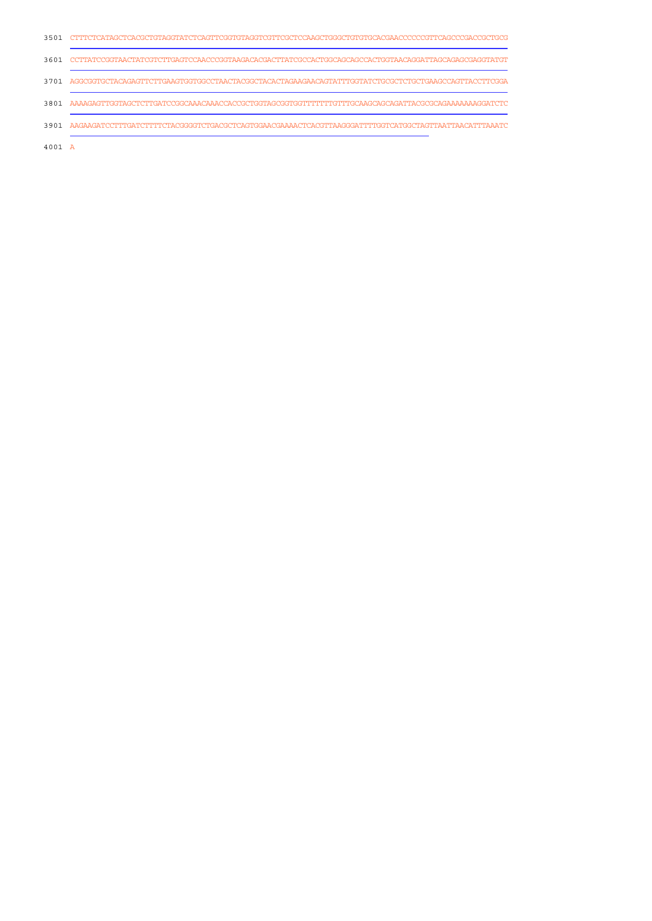|      | 3501 CTTTCTCATAGCTCACGCTGTAGGTATCTCAGTTCGGTGTAGGTCGTTCGCTCCAAGCTGGGCTGTGTGCACGAACCCCCCGTTCAGCCCGACCGCTGCG |
|------|-----------------------------------------------------------------------------------------------------------|
|      | 3601 CCTTATCCGGTAACTATCGTCTTGAGTCCAACCCGGTAAGACACGACTTATCGCCACTGGCAGCAGCCACTGGTAACAGGATTAGCAGAGCGAGGTATGT |
|      | 3701 AGGCGGTGCTACAGAGTTCTTGAAGTGGTGCCTAACTACGGCTACACTAGAAGAACAGTATTTGGTATCTGCGCTCTGCTGAAGCCAGTTACCTTCGGA  |
| 3801 |                                                                                                           |
| 3901 |                                                                                                           |
|      |                                                                                                           |

A 4001